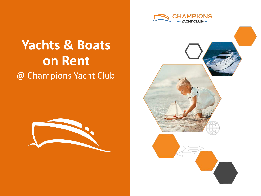

# @ Champions Yacht Club **Yachts & Boats on Rent**



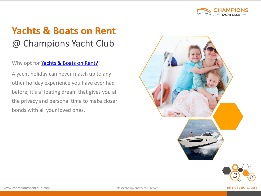

Why opt for [Yachts & Boats on Rent?](http://www.championsyachtclub.com/yachts-and-boats-for-rent.php)

A yacht holiday can never match up to any other holiday experience you have ever had before, it's a floating dream that gives you all the privacy and personal time to make closer bonds with all your loved ones.



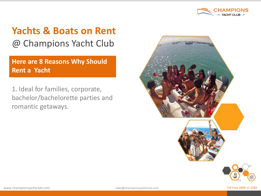

**Here are 8 Reasons Why Should Rent a Yacht**

1. Ideal for families, corporate, bachelor/bachelorette parties and romantic getaways.

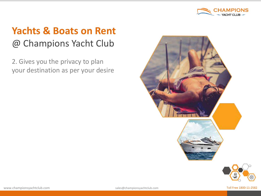

2. Gives you the privacy to plan your destination as per your desire



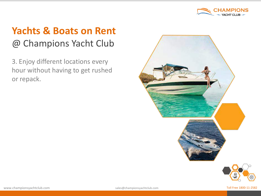

3. Enjoy different locations every hour without having to get rushed or repack.

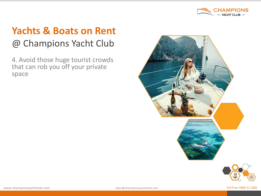

4. Avoid those huge tourist crowds that can rob you off your private space



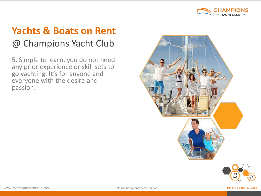

5. Simple to learn, you do not need any prior experience or skill sets to go yachting. It's for anyone and everyone with the desire and passion.



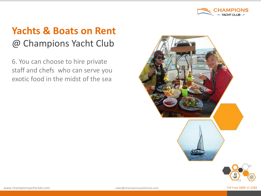

6. You can choose to hire private staff and chefs who can serve you exotic food in the midst of the sea



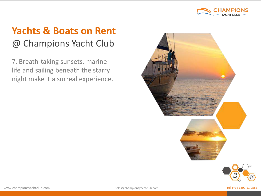

7. Breath-taking sunsets, marine life and sailing beneath the starry night make it a surreal experience.

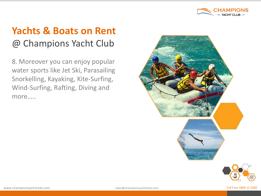

8. Moreover you can enjoy popular water sports like Jet Ski, Parasailing Snorkelling, Kayaking, Kite-Surfing, Wind-Surfing, Rafting, Diving and more…..





www.championsyachtclub.com **Sales@championsyachtclub.com** Sales@championsyachtclub.com Toll Free 1800-11-2582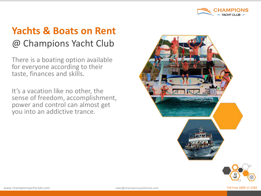

There is a boating option available for everyone according to their taste, finances and skills.

It's a vacation like no other, the sense of freedom, accomplishment, power and control can almost get you into an addictive trance.